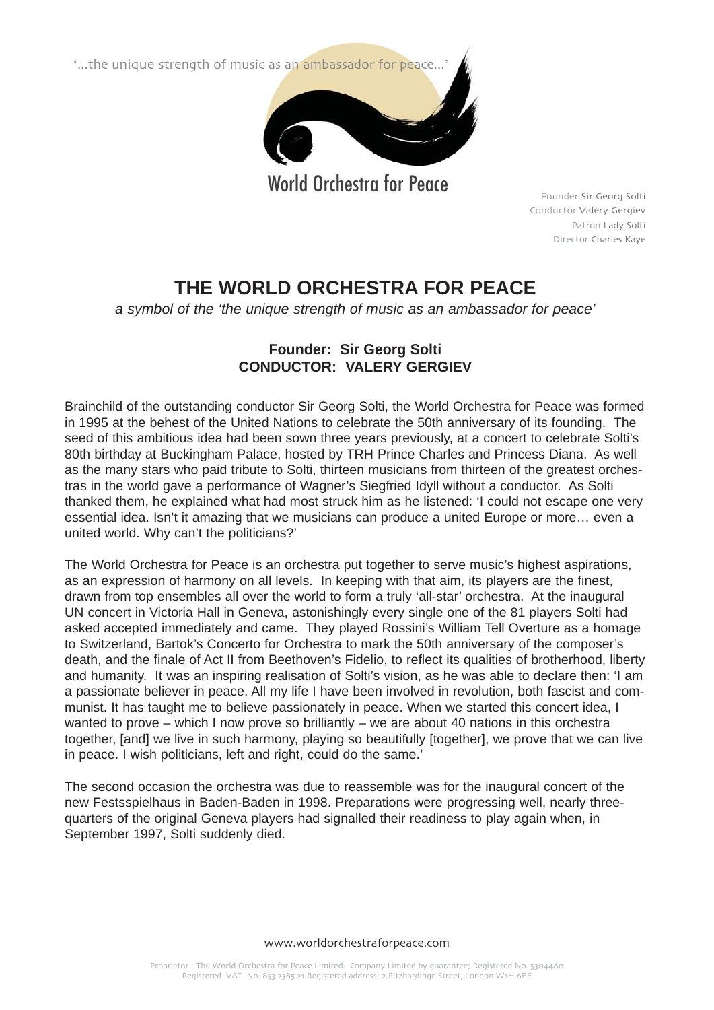"...the unique strength of music as an ambassador for peace...



World Orchestra for Peace

Founder Sir Georg Solti Conductor Valery Gergiev Patron Lady Solti Director Charles Kaye

## **THE WORLD ORCHESTRA FOR PEACE**

*a symbol of the 'the unique strength of music as an ambassador for peace'*

## **Founder: Sir Georg Solti CONDUCTOR: VALERY GERGIEV**

Brainchild of the outstanding conductor Sir Georg Solti, the World Orchestra for Peace was formed in 1995 at the behest of the United Nations to celebrate the 50th anniversary of its founding. The seed of this ambitious idea had been sown three years previously, at a concert to celebrate Solti's 80th birthday at Buckingham Palace, hosted by TRH Prince Charles and Princess Diana. As well as the many stars who paid tribute to Solti, thirteen musicians from thirteen of the greatest orchestras in the world gave a performance of Wagner's Siegfried Idyll without a conductor. As Solti thanked them, he explained what had most struck him as he listened: 'I could not escape one very essential idea. Isn't it amazing that we musicians can produce a united Europe or more… even a united world. Why can't the politicians?'

The World Orchestra for Peace is an orchestra put together to serve music's highest aspirations, as an expression of harmony on all levels. In keeping with that aim, its players are the finest, drawn from top ensembles all over the world to form a truly 'all-star' orchestra. At the inaugural UN concert in Victoria Hall in Geneva, astonishingly every single one of the 81 players Solti had asked accepted immediately and came. They played Rossini's William Tell Overture as a homage to Switzerland, Bartok's Concerto for Orchestra to mark the 50th anniversary of the composer's death, and the finale of Act II from Beethoven's Fidelio, to reflect its qualities of brotherhood, liberty and humanity. It was an inspiring realisation of Solti's vision, as he was able to declare then: 'I am a passionate believer in peace. All my life I have been involved in revolution, both fascist and communist. It has taught me to believe passionately in peace. When we started this concert idea, I wanted to prove – which I now prove so brilliantly – we are about 40 nations in this orchestra together, [and] we live in such harmony, playing so beautifully [together], we prove that we can live in peace. I wish politicians, left and right, could do the same.'

The second occasion the orchestra was due to reassemble was for the inaugural concert of the new Festsspielhaus in Baden-Baden in 1998. Preparations were progressing well, nearly threequarters of the original Geneva players had signalled their readiness to play again when, in September 1997, Solti suddenly died.